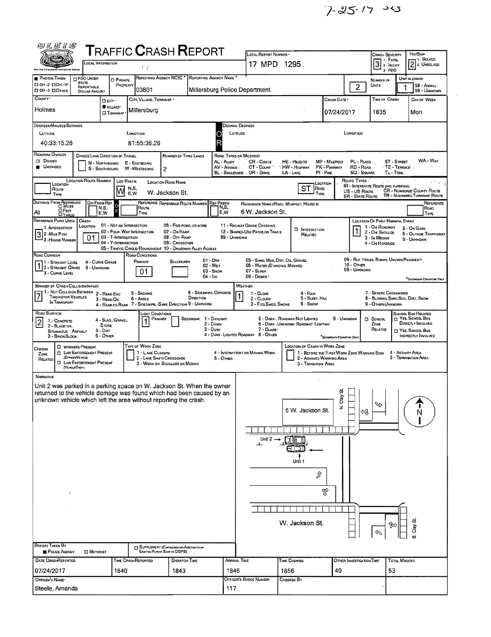$7-25.17 - 25$ 

 $\hat{\mathcal{A}}$ 

| 四儿居#\$                                                                                                                                                                                                                                                                                                                                    |                                                               |                                            |                                       |                                                             |                                      |                       |                                                                    |                                                  |                                             |                                          |                                                             |               |                                                              |
|-------------------------------------------------------------------------------------------------------------------------------------------------------------------------------------------------------------------------------------------------------------------------------------------------------------------------------------------|---------------------------------------------------------------|--------------------------------------------|---------------------------------------|-------------------------------------------------------------|--------------------------------------|-----------------------|--------------------------------------------------------------------|--------------------------------------------------|---------------------------------------------|------------------------------------------|-------------------------------------------------------------|---------------|--------------------------------------------------------------|
| <b>T</b> RAFFIC <b>C</b> RASH <b>R</b> EPORT<br>Local Information                                                                                                                                                                                                                                                                         |                                                               |                                            |                                       |                                                             |                                      |                       | LOCAL REPORT NUMBER                                                | Crash Severity<br>1 - Fatal                      | Ha/Skip<br>71. SOLVED                       |                                          |                                                             |               |                                                              |
| 69<br><b>Bels to a firturaneoni</b>                                                                                                                                                                                                                                                                                                       |                                                               |                                            |                                       |                                                             |                                      |                       | 17 MPD 1295                                                        |                                                  |                                             | $\overline{3}$<br>2- INJURY<br>$3 - PDO$ |                                                             | 2 2 UNSOLVED  |                                                              |
| <b>PHOTOS TAKEN</b><br>П ОН-2 ПОН-1Р                                                                                                                                                                                                                                                                                                      | PDO UNOER<br><b>STATE</b>                                     | <b>D</b> PRIVATE                           | REPORTING AGENCY NCIC                 |                                                             |                                      | REPORTING AGENCY NAME |                                                                    |                                                  |                                             |                                          | NUMBER OF                                                   |               | UNIT IN ERROR                                                |
| CI OH -3 CI OTHER                                                                                                                                                                                                                                                                                                                         | REPORTABLE<br><b>DOLLAR AMOUNT</b>                            | PROPERTY                                   | 03801                                 |                                                             |                                      |                       | Millersburg Police Department                                      |                                                  |                                             | $\overline{c}$                           | Units                                                       |               | 98 - ANIMAL<br>99 - UNKNOWN                                  |
| COUNTY '                                                                                                                                                                                                                                                                                                                                  | <b>O</b> CITY'                                                |                                            | CITY, VILLAGE, TOWNSHIP .             |                                                             |                                      |                       |                                                                    |                                                  | Crash Date *                                |                                          | TIME OF CRASH                                               |               | DAY OF WEEK                                                  |
| Holmes                                                                                                                                                                                                                                                                                                                                    | VILLAGE*                                                      | <b>O</b> Township                          | Millersburg                           |                                                             |                                      |                       |                                                                    |                                                  | 07/24/2017                                  |                                          | 1835                                                        |               | Mon                                                          |
| DEGREES/MINUTES/SECONDS                                                                                                                                                                                                                                                                                                                   |                                                               |                                            |                                       |                                                             |                                      | Decimal Degrees       |                                                                    |                                                  |                                             |                                          |                                                             |               |                                                              |
| LATITUDE                                                                                                                                                                                                                                                                                                                                  |                                                               |                                            | LONGITUDE                             |                                                             |                                      | LATITUDE              |                                                                    |                                                  |                                             | LONGITUOE                                |                                                             |               |                                                              |
| 40:33:15.26                                                                                                                                                                                                                                                                                                                               |                                                               |                                            | 81:55:36.26                           |                                                             |                                      | R                     |                                                                    |                                                  |                                             |                                          |                                                             |               |                                                              |
| ROADWAY DIVISION<br>DIVIDED LANE DIRECTION OF TRAVEL<br>NUMBER OF THRU LANES<br>ROAD TYPES OR MILEPOST                                                                                                                                                                                                                                    |                                                               |                                            |                                       |                                                             |                                      |                       |                                                                    |                                                  |                                             |                                          |                                                             |               |                                                              |
| WA - Way<br><b>O</b> Divideo<br><b>CR-CIRCLE</b><br>PL - PLACE<br>ST - STREET<br>AL - Auey<br><b>HE-HEIGHTS</b><br>MP - MILEPOST<br>N - NORTHBOUND<br>E - EASTBOUND<br><b>U</b> NOMOEO<br>28<br>AV - AVENUE<br>CT - Count<br><b>HW</b> - Highway<br>PK - PARKWAY<br>RD - Roap<br><b>TE-TERRACE</b><br>S - SOUTHBOUND<br>W -WESTBOUND<br>2 |                                                               |                                            |                                       |                                                             |                                      |                       |                                                                    |                                                  |                                             |                                          |                                                             |               |                                                              |
|                                                                                                                                                                                                                                                                                                                                           | <b>LOCATION ROUTE NUMBER</b>                                  | Loc PREFIX                                 |                                       | <b>LOCATION ROAD NAME</b>                                   |                                      |                       | BL - BOULEVARD . DR - DRIVE                                        | $LA - LANE$                                      | PI-PRE                                      | SQ - SQUARE<br>ROUTE TYPES               | TL-TRAIL                                                    |               |                                                              |
| LOCATION<br>Route                                                                                                                                                                                                                                                                                                                         |                                                               | N,S,<br>M<br>E.W                           |                                       | W. Jackson St.                                              |                                      |                       |                                                                    | <b>ST</b><br><b>ROAD</b>                         | LOCATION                                    | US - US Route                            | <b>IR'- INTERSTATE ROUTE (INC. TURNPIKE)</b>                |               | <b>CR - NUMBERED COUNTY ROUTE</b>                            |
| TYPE<br>DISTANCE FROM REFERENCE                                                                                                                                                                                                                                                                                                           | Dis From Rep                                                  |                                            |                                       | REFERENCE REFERENCE ROUTE NUMBER                            |                                      | <b>REF PREFIX</b>     |                                                                    | TYPE<br>REFERENCE NAME (ROAD, MILEPOST, HOUSE #) |                                             | <b>SR - STATE ROUTE</b>                  |                                                             |               | TR - NUMBERED TOWNSHIP ROUTE<br>REFERENCE                    |
| □ Ғ∈ет<br>At                                                                                                                                                                                                                                                                                                                              | N,S,<br>E,W                                                   |                                            | ROUTE<br>TYPE                         |                                                             |                                      | N,S,<br>E, W          | 6 W. Jackson St.                                                   |                                                  |                                             |                                          |                                                             |               | Road<br>TYPE                                                 |
| <b>DYARDS</b><br>REFERENCE POINT USED                                                                                                                                                                                                                                                                                                     | CRASH                                                         | 01 - NOT AN INTERSECTION                   |                                       | 06 - FIVE-POINT, OR MORE                                    |                                      |                       | 11 - RAILWAY GRADE CROSSING                                        |                                                  |                                             |                                          | LOCATION OF FIRST HARMFUL EVENT                             |               |                                                              |
| 1-INTERSECTION<br>2 - MiLE Post                                                                                                                                                                                                                                                                                                           | LOCATION                                                      | 02 - Four-Way INTERSECTION                 |                                       | 07 - On RAMP                                                |                                      |                       | 12 - SHARED-USE PATHS OR TRAILS                                    | <b>E INTERSECTION</b><br>RELATED                 |                                             |                                          | 1 - On ROADWAY<br>2 - On Shoulde                            |               | 5 - On GORE<br><b>5 - OUTSIDE TRAFFICWAY</b>                 |
| - 3 - House Number                                                                                                                                                                                                                                                                                                                        | 01                                                            | 03 - T-INTERSECTION<br>04 - Y-INTERSECTION |                                       | 08 - OFF RAMP<br>09 - CROSSOVER                             |                                      | 99 - Unknown          |                                                                    |                                                  |                                             |                                          | 3 - In Metuwn<br>4 - On Roadside                            |               | 9 - UNKNOWN                                                  |
| ROAD CONTOUR                                                                                                                                                                                                                                                                                                                              |                                                               |                                            | <b>ROAD CONDITIONS</b>                | 05 - TRAFFIC CIRCLE/ ROUNDABOUT 10 - DRIVEWAY/ ALLEY ACCESS |                                      |                       |                                                                    |                                                  |                                             |                                          |                                                             |               |                                                              |
| 1 - STRAIGHT LEVEL<br>$1/2$ - Straight Grade                                                                                                                                                                                                                                                                                              | 4 - CURVE GRADE<br>9 - UNKNOWN                                |                                            | Primary                               | SECONDARY                                                   | $01 - \text{Dar}$<br>02 - WET        |                       | 05 - SAND, MUO, DIRT, OIL, GRAVEL<br>05 - WATER (STANDING, MOVING) |                                                  |                                             | 10 - OTHER                               | 09 - RUT, HOLES, BUMPS, UNEVEN PAVEMENT*                    |               |                                                              |
| 3 - CURVE LEVEL                                                                                                                                                                                                                                                                                                                           |                                                               |                                            | 01                                    |                                                             | $04 - \text{lcc}$                    | $03 -$ Snow           | 07 - SLUSH<br>08 - DEBRIS ·                                        |                                                  |                                             | 99 - Unionown                            |                                                             |               | "SECONDARY CONDITION ONLY                                    |
| MANNER OF CRASH COLLISION/IMPACT                                                                                                                                                                                                                                                                                                          |                                                               |                                            |                                       |                                                             |                                      |                       | WEATHER                                                            |                                                  |                                             |                                          |                                                             |               |                                                              |
| 7<br>Two motor Vericles                                                                                                                                                                                                                                                                                                                   | 1 - Not Collision Between 2 - Rear Eng<br>3 - HEAD-ON         |                                            | 5 - BACKING<br>6 - ANGLE              |                                                             | 8 - Sipeswipe, Opposite<br>DIRECTION |                       | $1 - C$ LEAR<br>2 - CLOUDY                                         | $4 - RAN$<br>5 - SLEET, HAIL                     |                                             |                                          | 7 - SEVERE CROSSWINDS<br>8 - BLOWING SAND, SOIL, DIRT, SNOW |               |                                                              |
| IN TRANSPORT                                                                                                                                                                                                                                                                                                                              |                                                               |                                            |                                       | 4 - REAR-TO-REAR 7 - SIDESWIPE, SAME DIRECTION 9 - UNKNOWN  |                                      |                       | 3 - Fog.Smog.Smoke                                                 | 6 - SNOW                                         |                                             |                                          | 9 - OTHER UNXNOWN                                           |               |                                                              |
| ROAD SURFACE<br>$\overline{2}$<br>1 - CONCRETE                                                                                                                                                                                                                                                                                            |                                                               | 4 - SLAG, GRAVEL,                          | <b>LIGHT CONDITIONS</b><br>Primary    |                                                             | SECONDAR 1 - DAYLIGHT                |                       |                                                                    | 5 - DARK - ROADWAY NOT LIGHTED                   | 9 - UNKNOWN                                 |                                          | <b>El School</b>                                            |               | SCHOOL BUS RELATED<br>T YES, SCHOOL BUS<br>DIRECTLY INVOLVED |
| 2 - BLACKTOP,<br><b>BITUMINOUS, ASPHALT</b>                                                                                                                                                                                                                                                                                               | <b>STONE</b><br>$5 -$ Dirt                                    |                                            |                                       |                                                             | $3 - D$ USK                          | 2 - Dawn              | 7 - GLARE'                                                         | 6 - DARK - UNKNOWN ROADWAY LIGHTING              |                                             |                                          | ZONE<br>RELATED                                             |               | T YES, SCHOOL BUS                                            |
| 3 - BRICK BLOCK                                                                                                                                                                                                                                                                                                                           | 6 - OTHER                                                     |                                            |                                       |                                                             |                                      |                       | 4 - DARK - LIGHTEO ROADWAY 8 - OTHER                               |                                                  | "SECONDARY CONDITION CINE                   |                                          |                                                             |               | INDIRECTLY INVOLVED                                          |
| <b>□worx</b><br>ZONE                                                                                                                                                                                                                                                                                                                      | <b>EI WORKERS PRESENT</b><br><b>D</b> LAW ENFORCEMENT PRESENT |                                            | TYPE OF WORK ZONE<br>1 - LANE CLOSURE |                                                             |                                      |                       | 4 - INTERMITTENT OR MOVING WORK                                    | <b>LOCATION OF CRASH IN WORK ZONE</b>            | 1 - BEFORE THE FIRST WORK ZONE WARNING SIGN |                                          |                                                             |               | 4 - ACTIVITY AREA                                            |
| RELATED                                                                                                                                                                                                                                                                                                                                   | (OFFICER/VEHICLE)<br><b>EL LAW ENFORCEMENT PRESENT</b>        |                                            |                                       | 2 - LANE SHIFTI CROSSOVER<br>3 - WORK ON SHOULDER OR MEDIAN |                                      | 5 - OTHER             |                                                                    | 3 - TRANSITION AREA                              | 2 - ADVANCE WARNING AREA                    |                                          |                                                             |               | 5 - TERMINATION APEA                                         |
| (VDSCLEOMY)<br>NARRATIVE                                                                                                                                                                                                                                                                                                                  |                                                               |                                            |                                       |                                                             |                                      |                       |                                                                    |                                                  |                                             |                                          |                                                             |               |                                                              |
| Unit 2 was parked in a parking space on W. Jackson St. When the owner                                                                                                                                                                                                                                                                     |                                                               |                                            |                                       |                                                             |                                      |                       |                                                                    |                                                  |                                             |                                          |                                                             |               |                                                              |
| returned to the vehicle damage was found which had been caused by an                                                                                                                                                                                                                                                                      |                                                               |                                            |                                       |                                                             |                                      |                       |                                                                    |                                                  | ゚゙゙゙゙゙゙<br>ğ                                |                                          |                                                             |               |                                                              |
| unknown vehicle which left the area without reporting the crash.                                                                                                                                                                                                                                                                          |                                                               |                                            |                                       |                                                             |                                      |                       |                                                                    | 6 W. Jackson St.                                 | ź                                           |                                          | ఫ                                                           |               | J.                                                           |
|                                                                                                                                                                                                                                                                                                                                           |                                                               |                                            |                                       |                                                             |                                      |                       |                                                                    |                                                  |                                             | લ્દ્ય                                    |                                                             |               | N                                                            |
|                                                                                                                                                                                                                                                                                                                                           |                                                               |                                            |                                       |                                                             |                                      |                       |                                                                    |                                                  |                                             |                                          |                                                             |               |                                                              |
|                                                                                                                                                                                                                                                                                                                                           |                                                               |                                            |                                       |                                                             |                                      |                       | Unit $2 -$                                                         |                                                  |                                             |                                          |                                                             |               |                                                              |
|                                                                                                                                                                                                                                                                                                                                           |                                                               |                                            |                                       |                                                             |                                      |                       |                                                                    |                                                  |                                             |                                          |                                                             |               |                                                              |
|                                                                                                                                                                                                                                                                                                                                           |                                                               |                                            |                                       |                                                             |                                      |                       |                                                                    | Unit 1                                           |                                             |                                          |                                                             |               |                                                              |
|                                                                                                                                                                                                                                                                                                                                           |                                                               |                                            |                                       |                                                             |                                      |                       |                                                                    | ŷ                                                |                                             |                                          |                                                             |               |                                                              |
|                                                                                                                                                                                                                                                                                                                                           |                                                               |                                            |                                       |                                                             |                                      |                       |                                                                    |                                                  |                                             |                                          |                                                             |               |                                                              |
| ÷                                                                                                                                                                                                                                                                                                                                         |                                                               |                                            |                                       |                                                             |                                      |                       |                                                                    |                                                  | A                                           |                                          |                                                             |               |                                                              |
|                                                                                                                                                                                                                                                                                                                                           |                                                               |                                            |                                       |                                                             |                                      |                       |                                                                    |                                                  |                                             |                                          |                                                             |               |                                                              |
|                                                                                                                                                                                                                                                                                                                                           |                                                               |                                            |                                       |                                                             |                                      |                       |                                                                    |                                                  |                                             |                                          |                                                             |               |                                                              |
| W. Jackson St.<br>⊯                                                                                                                                                                                                                                                                                                                       |                                                               |                                            |                                       |                                                             |                                      |                       |                                                                    |                                                  |                                             |                                          | の Aero<br>の                                                 |               |                                                              |
|                                                                                                                                                                                                                                                                                                                                           |                                                               |                                            |                                       |                                                             |                                      |                       |                                                                    |                                                  |                                             |                                          | $\mathcal{P}$                                               |               |                                                              |
| <b>REPORT TAKEN BY</b>                                                                                                                                                                                                                                                                                                                    |                                                               |                                            |                                       | <b>ET SUPPLEMENT (CORRECTION ON ADDITION TO AN</b>          |                                      |                       |                                                                    |                                                  |                                             |                                          |                                                             |               |                                                              |
| <b>POLICE AGENCY</b><br>DATE CRASHREPORTED                                                                                                                                                                                                                                                                                                | <b>CI MOTORIST</b>                                            | TIME CRASHREPORTED                         |                                       | Existing Report Sent to ODPS)<br><b>DISPATCH TIME</b>       |                                      | Araival Time          |                                                                    | TIME CLEARED                                     |                                             | OTHER INVESTIGATION TIME                 |                                                             | TOTAL MINUTES |                                                              |
| 07/24/2017                                                                                                                                                                                                                                                                                                                                |                                                               | 1840                                       |                                       | 1843                                                        |                                      | 1846                  |                                                                    | 1856                                             | 40                                          |                                          | 53                                                          |               |                                                              |
| OFFICEH'S NAME*                                                                                                                                                                                                                                                                                                                           |                                                               |                                            |                                       |                                                             |                                      |                       | <b>OFFICER'S BADGE NUMBER</b>                                      | Снескер Ву                                       |                                             |                                          |                                                             |               |                                                              |
| Steele, Amanda                                                                                                                                                                                                                                                                                                                            |                                                               |                                            |                                       |                                                             |                                      | 117                   |                                                                    |                                                  |                                             |                                          |                                                             |               |                                                              |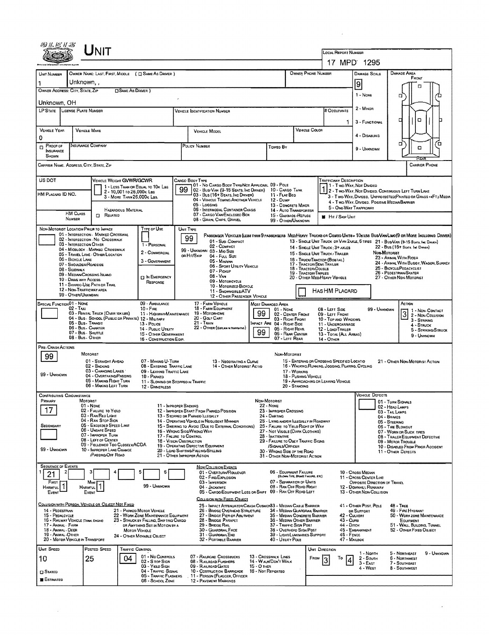|                                                                                                                                                                                                                                                                                                                                         | Unit                                                                         |                                                                                |                                                          |                                                                                                                                            |                                                                                  |                                                                                                                  |                                  |                                                                               |                                                                     |                                                                                  |                                                                                                                   |                                              |                            |  |
|-----------------------------------------------------------------------------------------------------------------------------------------------------------------------------------------------------------------------------------------------------------------------------------------------------------------------------------------|------------------------------------------------------------------------------|--------------------------------------------------------------------------------|----------------------------------------------------------|--------------------------------------------------------------------------------------------------------------------------------------------|----------------------------------------------------------------------------------|------------------------------------------------------------------------------------------------------------------|----------------------------------|-------------------------------------------------------------------------------|---------------------------------------------------------------------|----------------------------------------------------------------------------------|-------------------------------------------------------------------------------------------------------------------|----------------------------------------------|----------------------------|--|
|                                                                                                                                                                                                                                                                                                                                         |                                                                              |                                                                                |                                                          |                                                                                                                                            |                                                                                  | LOCAL REPORT NUMBER                                                                                              |                                  |                                                                               |                                                                     |                                                                                  |                                                                                                                   |                                              |                            |  |
|                                                                                                                                                                                                                                                                                                                                         |                                                                              |                                                                                |                                                          |                                                                                                                                            |                                                                                  | 17 MPD: 1295                                                                                                     |                                  |                                                                               |                                                                     |                                                                                  |                                                                                                                   |                                              |                            |  |
| UNIT NUMBER<br>1                                                                                                                                                                                                                                                                                                                        | Unknown, ,                                                                   | OWNER NAME: LAST, FIRST, MIDDLE ( $\Box$ SAME AS DRIVER )                      |                                                          |                                                                                                                                            |                                                                                  | <b>OWNER PHONE NUMBER</b>                                                                                        |                                  | <b>DAMAGE SCALE</b>                                                           |                                                                     | Damage Area<br>FRONT                                                             |                                                                                                                   |                                              |                            |  |
| OWNER ADDRESS: CITY, STATE, ZIP                                                                                                                                                                                                                                                                                                         | <b>CISAME AS DRIVER</b> )                                                    |                                                                                |                                                          |                                                                                                                                            |                                                                                  | 9                                                                                                                |                                  |                                                                               |                                                                     |                                                                                  |                                                                                                                   |                                              |                            |  |
| Unknown, OH                                                                                                                                                                                                                                                                                                                             |                                                                              | 1 - None                                                                       |                                                          | π                                                                                                                                          |                                                                                  |                                                                                                                  |                                  |                                                                               |                                                                     |                                                                                  |                                                                                                                   |                                              |                            |  |
| LP STATE LIGENSE PLATE NUMBER                                                                                                                                                                                                                                                                                                           |                                                                              |                                                                                |                                                          | <b>VEHICLE IDENTIFICATION NUMBER</b>                                                                                                       |                                                                                  |                                                                                                                  |                                  |                                                                               | # OccuPANTS                                                         | 2 - MINOR                                                                        |                                                                                                                   |                                              |                            |  |
|                                                                                                                                                                                                                                                                                                                                         |                                                                              |                                                                                |                                                          |                                                                                                                                            |                                                                                  |                                                                                                                  |                                  |                                                                               | 1.                                                                  | 3 - FUNCTIONAL                                                                   | O<br>α                                                                                                            |                                              |                            |  |
| VEHICLE YEAR                                                                                                                                                                                                                                                                                                                            | <b>VEHICLE MAKE</b>                                                          |                                                                                |                                                          | <b>VEHICLE MODEL</b>                                                                                                                       |                                                                                  |                                                                                                                  |                                  | <b>VEHICLE COLOR</b>                                                          |                                                                     | 4 - Disabung                                                                     |                                                                                                                   |                                              |                            |  |
| 0<br><b>PROOF OF</b>                                                                                                                                                                                                                                                                                                                    | INSURANCE COMPANY                                                            |                                                                                |                                                          | POLICY NUMBER<br>Toweo By                                                                                                                  |                                                                                  |                                                                                                                  |                                  |                                                                               |                                                                     |                                                                                  |                                                                                                                   | α                                            | 'n                         |  |
| INSURANCE<br>SHOWN                                                                                                                                                                                                                                                                                                                      |                                                                              |                                                                                |                                                          |                                                                                                                                            |                                                                                  |                                                                                                                  |                                  |                                                                               |                                                                     | 9 - UNKNOWN                                                                      |                                                                                                                   | O<br>RFE                                     |                            |  |
|                                                                                                                                                                                                                                                                                                                                         | CARRIER NAME, ADDRESS, CITY, STATE, ZIP                                      |                                                                                |                                                          |                                                                                                                                            |                                                                                  |                                                                                                                  |                                  |                                                                               |                                                                     |                                                                                  |                                                                                                                   | <b>CARRIER PHONE</b>                         |                            |  |
| US DOT                                                                                                                                                                                                                                                                                                                                  |                                                                              | VEHICLE WEIGHT GVWR/GCWR                                                       |                                                          | CARGO BOOY TYPE                                                                                                                            |                                                                                  |                                                                                                                  |                                  |                                                                               | <b>TRAFFICWAY DESCRIPTION</b>                                       |                                                                                  |                                                                                                                   |                                              |                            |  |
| HM PLACARD ID NO.                                                                                                                                                                                                                                                                                                                       |                                                                              | 1 - LESS THAN OR EQUAL TO 10K LBS<br>2 - 10,001 to 26,000k Les                 | 99                                                       | 01 - No CARGO BODY TYPE/NOT APPLICABL 09 - POLE<br>02 - Busi Van (9-15 Seats, Inc Driver)                                                  |                                                                                  | 10 - CARGO TANK                                                                                                  |                                  |                                                                               | 11 - Two Way, Not Divers                                            | 2 - Two-Way, Not Divided, Continuous Left Turn Lane                              |                                                                                                                   |                                              |                            |  |
|                                                                                                                                                                                                                                                                                                                                         |                                                                              | 3 - MORE THAN 26,000K LBS.                                                     |                                                          | 03 - Bus (16+ Seats, Inc DRNER)<br>04 - VEHICLE TOWING ANOTHER VEHICLE<br>05 - LOGGING                                                     |                                                                                  | 11 - FLAT BED<br>12 - Duwe                                                                                       |                                  |                                                                               |                                                                     |                                                                                  | 3 - Two-Way, Divided, Unprotected (Painted or Grass >4FT.) Media<br>4 - Two-WAY, DIVIDED, POSITIVE MEDIAN BARRIER |                                              |                            |  |
|                                                                                                                                                                                                                                                                                                                                         | <b>HM CLASS</b><br><b>CI RELATED</b>                                         | <b>HAZARDOUS MATERIAL</b>                                                      |                                                          | <b>06 - INTERMODAL CONTAINER CHASIS</b><br>07 - CARGO VAN/ENCLOSED BOX                                                                     |                                                                                  | 13 - CONCRETE MIXER<br>14 - AUTO TRANSPORTER                                                                     |                                  |                                                                               | 5 - ONE-WAY TRAFFICWAY                                              |                                                                                  |                                                                                                                   |                                              |                            |  |
| <b>NUMBER</b>                                                                                                                                                                                                                                                                                                                           |                                                                              |                                                                                |                                                          | 08 - GRAIN, CHIPS, GRAVEL                                                                                                                  |                                                                                  | 15 - GARBAOE /REFUSE<br>99 - OTHER/UNKNOWN                                                                       |                                  |                                                                               | <b>M</b> Hit / Skip Unit                                            |                                                                                  |                                                                                                                   |                                              |                            |  |
|                                                                                                                                                                                                                                                                                                                                         | NON-MOTORIST LOCATION PRIOR TO IMPACT<br>01 - INTERSECTION - MARKED CROSSWAL | TYPE OF USE                                                                    |                                                          | UNIT TYPE<br>Passenger Vehicles (less than 9 passengers Med/Heavy Trucks or Comso Units > 10k les Bus/Van/Limo(9 or More Including Driver) |                                                                                  |                                                                                                                  |                                  |                                                                               |                                                                     |                                                                                  |                                                                                                                   |                                              |                            |  |
|                                                                                                                                                                                                                                                                                                                                         | 02 - INTERSECTION No CROSSWALK<br>03 - INTERSECTION OTHER                    | 1 - PERSONAL                                                                   |                                                          | 99<br>01 - Sub-COMPACT<br>02 - COMPACT                                                                                                     |                                                                                  |                                                                                                                  |                                  |                                                                               |                                                                     | 13 - SINGLE UNIT TRUCK OR VAN 2AXLE, 6 TRES 21 - BUS/VAN (9-15 SEATS, INC DAVER) |                                                                                                                   | 22 - Bus (16+ Seats Inc Driver)              |                            |  |
|                                                                                                                                                                                                                                                                                                                                         | 04 - MIOSLOCK - MARKED CROSSWALK<br>05 - TRAVEL LANE - OTHER LOCATION        | 2 - COMMERCIAL                                                                 |                                                          | 99 - UNKNOWN 03 - MIO SIZE<br>or Hit/Skip<br>04 - FULL SIZE                                                                                |                                                                                  |                                                                                                                  |                                  |                                                                               | 14 - SINGLE UNIT TRUCK: 3+ AXLES<br>15 - SINGLE UNIT TRUCK/ TRAILER |                                                                                  | NON-MOTORIST                                                                                                      |                                              |                            |  |
|                                                                                                                                                                                                                                                                                                                                         | 06 - BICYCLE LANE<br>07 - SHOULDER/ROADSIDE                                  | 3 - GOVERNMENT                                                                 |                                                          | 05 - Mingvan<br>06 - Sport UTAITY VEHICLE                                                                                                  |                                                                                  |                                                                                                                  |                                  | 16 - TRUCK/TRACTOR (BOBTAR.)<br>17 - TRACTOR/SEMI-TRAILER                     |                                                                     |                                                                                  | 23 - ANMAL WITH RIDER<br>24 - ANMAL WITH BUGGY, WAGON, SURREY                                                     |                                              |                            |  |
| 08 - Sidewalk                                                                                                                                                                                                                                                                                                                           | 09 - MEDIAN/CROSSING ISLAND                                                  |                                                                                |                                                          | 07 - Pickup<br>08 - VAN                                                                                                                    | 18 - Tractor/Double<br>19 - TRACTOR/TRIPLES                                      |                                                                                                                  |                                  | 25 - BICYCLE/PEDACYCLIST<br>26 - Pedestrian/Skater<br>27 - Other Non-Motorist |                                                                     |                                                                                  |                                                                                                                   |                                              |                            |  |
| $\Box$ In EMERGENCY<br>20 - OTHER MEDIMEAVY VEHICLE<br>10 - DRIVE WAY ACCESS<br>09 - MOTORCYCLE<br>RESPONSE<br>11 - SHAREO-USE PATH OR TRAIL<br>10 - Motorized Bicycle                                                                                                                                                                  |                                                                              |                                                                                |                                                          |                                                                                                                                            |                                                                                  |                                                                                                                  |                                  |                                                                               |                                                                     |                                                                                  |                                                                                                                   |                                              |                            |  |
|                                                                                                                                                                                                                                                                                                                                         | 12 - NON-TRAFFICWAY AREA<br>99 - OTHER/UNKNOWN                               |                                                                                |                                                          | 11 - SNOWMOBLE/ATV<br>12 - OTHER PASSENGER VEHICLE                                                                                         |                                                                                  |                                                                                                                  |                                  |                                                                               | HASHM PLACARD                                                       |                                                                                  |                                                                                                                   |                                              |                            |  |
| SPECIAL FUNCTION 01 - NONE                                                                                                                                                                                                                                                                                                              | 02 - Taxi                                                                    | 09 - AMBULANCE<br>$10 -$ Fine                                                  |                                                          | 17 - FARM VEHICLE<br>18 - FARM EQUIPMENT                                                                                                   | MOST DAMAGED AREA                                                                | 01 - NONE                                                                                                        | 08 - LEFT SIDE                   |                                                                               |                                                                     | 99 - UNKNOWN                                                                     |                                                                                                                   | ACTION                                       |                            |  |
|                                                                                                                                                                                                                                                                                                                                         | 03 - RENTAL TRUCK (OVER 10KLBS)                                              | 11 - HIGHWAY/MAINTENANCE<br>04 - Bus. SCHOOL (PUBLIC DR PRIVATE) 12 - MILITARY |                                                          | 19 - Мотовноме<br>20 - GOLF CART                                                                                                           | 02 - CENTER FRONT<br>09 - LEFT FRONT<br>03 - Right Front<br>10 - Top and Windows |                                                                                                                  |                                  |                                                                               |                                                                     |                                                                                  | $\overline{3}$                                                                                                    | 1 - NON-CONTACT<br>2 - Non-Collision         |                            |  |
| 21 - TRAIN<br>05 - Bus - Transit<br>MPACT ARE 04 - RIGHT SIDE<br>13 - Pouce<br>22 - OTHER (EXPLAININ NARRATIVE)<br>06 - Bus - Charter<br>05 - RIGHT REAR<br>14 - Pusuc Unury                                                                                                                                                            |                                                                              |                                                                                |                                                          |                                                                                                                                            |                                                                                  |                                                                                                                  |                                  |                                                                               | 11 - UNDERCARRIAGE<br>12 - LOAD/TRAILER                             |                                                                                  |                                                                                                                   | 3 - STRIKING<br>$4 -$ Struck                 | 5 - STRIKING/STRUCK        |  |
|                                                                                                                                                                                                                                                                                                                                         | 07 - Bus - Shuttle<br>08 - Bus - Other                                       | 15 - OTHER GOVERNMENT<br>16 - CONSTRUCTION EDIP.                               |                                                          |                                                                                                                                            | 99                                                                               | 06 - REAR CENTER<br>07 - LEFT REAR                                                                               |                                  |                                                                               | 13 - TOTAL (ALL AREAS)<br>14 - Отнев                                |                                                                                  |                                                                                                                   | 9 - UNKNOWN                                  |                            |  |
| PRE-CRASH ACTIONS                                                                                                                                                                                                                                                                                                                       |                                                                              |                                                                                |                                                          |                                                                                                                                            |                                                                                  |                                                                                                                  |                                  |                                                                               |                                                                     |                                                                                  |                                                                                                                   |                                              |                            |  |
| 99                                                                                                                                                                                                                                                                                                                                      | MOTORIST<br>01 - STRAIGHT AHEAD                                              | 07 - MAKING U-TURN                                                             |                                                          | 13 - Negotiating a Curve                                                                                                                   |                                                                                  | NON-MOTORIST                                                                                                     |                                  |                                                                               | 15 - ENTERING OR CROSSING SPECIFIED LOCATIO                         |                                                                                  |                                                                                                                   | 21 - OTHER NON-MOTORIST ACTION               |                            |  |
|                                                                                                                                                                                                                                                                                                                                         | 02 - BACKING<br>03 - Changing LANES                                          | 08 - ENTERING TRAFFIC LANE<br>09 - LEAVING TRAFFIC LANE                        |                                                          | 14 - OTHER MOTORIST ACTIO                                                                                                                  |                                                                                  |                                                                                                                  | 17 - Working                     |                                                                               | 16 - WALKIND, RUNNING, JOGGING, PLAYING, CYCLING                    |                                                                                  |                                                                                                                   |                                              |                            |  |
| 99 - UNKNOWN                                                                                                                                                                                                                                                                                                                            | 04 - Overtaking Passing<br>05 - MAKING RIGHT TURN                            | 10 - PARKED<br>11 - Slowing or Stopped in Traffic                              |                                                          |                                                                                                                                            |                                                                                  |                                                                                                                  | 18 - PUSHING VEHICLE             |                                                                               | 19 - APPROACHING OR LEAVING VEHICLE                                 |                                                                                  |                                                                                                                   |                                              |                            |  |
|                                                                                                                                                                                                                                                                                                                                         | 06 - MAKING LEFT TURN                                                        | 12 - DAMERLESS                                                                 |                                                          |                                                                                                                                            |                                                                                  |                                                                                                                  | 20 - STANDING                    |                                                                               |                                                                     |                                                                                  |                                                                                                                   |                                              |                            |  |
| <b>CONTRIBUTING CIRCUMSTANCE</b><br><b>Рамля</b>                                                                                                                                                                                                                                                                                        | <b>MOTORIST</b>                                                              |                                                                                |                                                          |                                                                                                                                            | Non-Motorist                                                                     |                                                                                                                  |                                  |                                                                               |                                                                     | <b>VEHICLE DEFECTS</b>                                                           | 01 - TURN SIGNALS                                                                                                 |                                              |                            |  |
| 17                                                                                                                                                                                                                                                                                                                                      | $01 - None$<br>02 - FAILURE TO YIELD                                         |                                                                                | 11 - IMPROPER BACKING                                    | 12 - IMPROPER START FROM PARKED POSITION                                                                                                   |                                                                                  | 22 - NONE<br>02 - Head Lamps<br>23 - IMPROPER CROSSING<br>03 - TAIL LAMPS                                        |                                  |                                                                               |                                                                     |                                                                                  |                                                                                                                   |                                              |                            |  |
|                                                                                                                                                                                                                                                                                                                                         | 03 - RAN RED LIGHT<br>04 - RAN STOP SIGN                                     |                                                                                |                                                          | 13 - STOPPED OR PARKED LLEGALLY<br>14 - OPERATING VEHICLE IN NEGLIGENT MANNER                                                              | 24 - DARTING                                                                     | 04 - BRAKES<br>25 - LYING ANDIOR LLEGALLY IN ROADWAY<br>05 - STEERING                                            |                                  |                                                                               |                                                                     |                                                                                  |                                                                                                                   |                                              |                            |  |
| SECONDARY                                                                                                                                                                                                                                                                                                                               | 05 - Exceeped Speed LIMIT<br>06 - Unsafe Speed<br>07 - IMPROPER TURN         |                                                                                |                                                          | 15 - SWERING TO AVOID (DUE TO EXTERNAL CONDITIONS)<br>16 - WRONG SIDE/WRONG WAY                                                            |                                                                                  | 26 - FALURE TO YIELD RIGHT OF WAY<br>27 - NOT VISBLE (DARK CLOTHING)                                             |                                  |                                                                               |                                                                     |                                                                                  |                                                                                                                   | 06 - THE BLOWOUT<br>07 - WORN OR SLICK TIRES |                            |  |
|                                                                                                                                                                                                                                                                                                                                         | 08 - LEFT OF CENTER<br>09 - Followed Too Closelv/ACDA                        |                                                                                | 17 - FALURE TO CONTROL<br><b>18 - VISION OBSTRUCTION</b> | 19 - OPERATING DEFECTIVE EQUIPMENT                                                                                                         |                                                                                  | 28 - INATTENTIVE<br>08 - TRAILER EQUIPMENT DEFECTIVE<br>29 - FAILURE TO OBEY TRAFFIC SIGNS<br>09 - MOTOR TROUBLE |                                  |                                                                               |                                                                     |                                                                                  |                                                                                                                   |                                              |                            |  |
| 99 - UNKNOWN                                                                                                                                                                                                                                                                                                                            | 10 - IMPROPER LANE CHANGE<br><b><i>PASSING/OFF ROAD</i></b>                  |                                                                                |                                                          | 20 - LOAD SHIFTING/FALLING/SPILLING<br>21 - OTHER IMPROPER ACTION                                                                          |                                                                                  | SIGNALS/OFFICER<br>30 - Waong Side of the Road<br>31 - OTHER NON-MOTORIST ACTION                                 |                                  |                                                                               |                                                                     |                                                                                  | 11 - OTHER DEFECTS                                                                                                | 10 - DISABLED FROM PRIOR ACCIDENT            |                            |  |
| <b>SEQUENCE OF EVENTS</b>                                                                                                                                                                                                                                                                                                               |                                                                              |                                                                                |                                                          |                                                                                                                                            |                                                                                  |                                                                                                                  |                                  |                                                                               |                                                                     |                                                                                  |                                                                                                                   |                                              |                            |  |
| 21                                                                                                                                                                                                                                                                                                                                      |                                                                              |                                                                                |                                                          | NON COLLISION EVENTS<br>01 - Oventuau/Rouloven<br>02 - FIRE/EXPLOSION                                                                      |                                                                                  | 06 - EQUIPMENT FAILURE                                                                                           | (BLOWN TIPE, BRAKE FAALINE, ETC) |                                                                               |                                                                     | 10 - CROSS MEDIAN<br>11 - CROSS CENTER LINE                                      |                                                                                                                   |                                              |                            |  |
| FIRST<br>1<br><b>HARMFUL</b>                                                                                                                                                                                                                                                                                                            | Mosi<br><b>HARMFUL</b>                                                       | 99 - UNXNOWN                                                                   |                                                          | 03 - IMMERSION<br>04 - JACKKNIFE                                                                                                           |                                                                                  | 07 - SEPARATION OF UNITS<br>08 - RAN OFF ROAD RIGHT                                                              |                                  |                                                                               |                                                                     | OPPOSITE DIRECTION OF TRAVEL<br>12 - DOWNHEL RUNAWAY                             |                                                                                                                   |                                              |                            |  |
| Event                                                                                                                                                                                                                                                                                                                                   | Event                                                                        |                                                                                |                                                          | 05 - CARGO/EQUIPMENT LOSS OR SHIFT                                                                                                         |                                                                                  | 09 - RAN OFF ROAD LEFT                                                                                           |                                  |                                                                               |                                                                     | 13 - OTHER NON-COLLISION                                                         |                                                                                                                   |                                              |                            |  |
|                                                                                                                                                                                                                                                                                                                                         | COLLISION WITH PERSON, VEHICLE OR OBJECT NOT FIXED                           |                                                                                |                                                          | COLLISION WITH FIXED, OBJECT<br>25 - IMPACT ATTENUATOR/CRASH CUSHIO/83 - MEDIAN CABLE BARRIER                                              |                                                                                  |                                                                                                                  |                                  |                                                                               |                                                                     | 41 - OTHER POST, POLE                                                            | <b>48 - TREE</b>                                                                                                  |                                              |                            |  |
| 14 - PEDESTRIAN<br>15 - PEDALCYCLE                                                                                                                                                                                                                                                                                                      |                                                                              | 21 - PARKED MOTOR VEHICLE<br>22 - WORK ZONE MAINTENANCE EQUIPMENT              |                                                          | 26 - BRIDGE OVERHEAD STRUCTURE<br>34 - MEDIAN GUARDRAIL BARRIER<br>27 - BRIDGE PIER OR ABUTMENT                                            |                                                                                  |                                                                                                                  |                                  | 35 - MEDIAN CONCRETE BARRIER                                                  |                                                                     | 49 - FIRE HYDRANT<br>or Support<br>42 - CULVERT                                  |                                                                                                                   |                                              | 50 - WORK ZONE MAINTENANCE |  |
| 17 - ANNAL FARM                                                                                                                                                                                                                                                                                                                         | 16 - RAILWAY VEHICLE (TRAIN, ENGINE)                                         | 23 - STRUCK BY FALLING, SHIFTING CARGO<br>OR ANYTHING SET IN MOTION BY A       |                                                          | 28 - BRIOGE PARAPET<br>36 - MEDIAN OTHER BARRIER<br>37 - Traffic Sign Post<br>29 - Bridge Rail                                             |                                                                                  |                                                                                                                  |                                  |                                                                               | 43 - Cuna<br>44 - Олен                                              |                                                                                  | EQUIPMENT<br>51 - WALL, BULDING, TUNNEL<br>52 - OTHER FIXED OBJECT                                                |                                              |                            |  |
| 45 - EMBANKMENT<br>18 - ANIMAL - DEER<br>30 - GUARDRAIL FACE<br>38 - Overhead Sign Post<br><b>MOTOR VEHICLE</b><br>19 - ANIMAL -OTHER<br>46 - FENCE<br>31 - GUARDRAILEND<br>39 - LIGHT/LUMINARIES SUPPORT<br>24 - OTHER MOVABLE OBJECT<br>20 - MOTOR VEHICLE IN TRANSPORT<br>32 - PORTABLE BARRIER<br>40 - UTILITY POLE<br>47 - MAILBOX |                                                                              |                                                                                |                                                          |                                                                                                                                            |                                                                                  |                                                                                                                  |                                  |                                                                               |                                                                     |                                                                                  |                                                                                                                   |                                              |                            |  |
| UNIT SPEED                                                                                                                                                                                                                                                                                                                              | Posteo Speeo                                                                 | <b>TRAFFIC CONTROL</b>                                                         |                                                          |                                                                                                                                            |                                                                                  |                                                                                                                  |                                  | UNIT DIRECTION                                                                |                                                                     |                                                                                  |                                                                                                                   |                                              |                            |  |
| 10                                                                                                                                                                                                                                                                                                                                      | 25                                                                           | 01 - No CONTROLS<br>04                                                         |                                                          | 07 - RAILROAD CROSSBUCKS                                                                                                                   | 13 - CROSSWALK LINES                                                             |                                                                                                                  |                                  | <b>FROM</b>                                                                   | То<br>14                                                            | 1 - North<br>2 - South                                                           |                                                                                                                   | 5 - NORTHEAST<br>6 - NORTHWEST               | 9 - UNKNDWN                |  |
|                                                                                                                                                                                                                                                                                                                                         |                                                                              | 02 - S rop Sign<br>03 - YiELD SIGN<br>04 - Traffic Signal                      |                                                          | 08 - RAILROAD FLASHERS<br>09 - RALROAD GATES<br>10 - COSTRUCTION BARRICADE                                                                 | 14 - WALK/DON'T WALK<br>15 - О тнея<br>16 - Not Reported                         |                                                                                                                  |                                  |                                                                               |                                                                     | $3 - E$ AST<br>4 - West                                                          |                                                                                                                   | 7 - SOUTHEAST<br>8 - SOUTHWEST               |                            |  |
| <b>CI STATEO</b><br><b>B</b> Estimated                                                                                                                                                                                                                                                                                                  |                                                                              | 05 - TRAFFIC FLASHERS<br>06 - School Zone                                      |                                                          | 11 - PERSON (FLAGGER, OFFICER<br>12 - PAVEMENT MARKINGS                                                                                    |                                                                                  |                                                                                                                  |                                  |                                                                               |                                                                     |                                                                                  |                                                                                                                   |                                              |                            |  |
|                                                                                                                                                                                                                                                                                                                                         |                                                                              |                                                                                |                                                          |                                                                                                                                            |                                                                                  |                                                                                                                  |                                  |                                                                               |                                                                     |                                                                                  |                                                                                                                   |                                              |                            |  |

 $\sim$ 

 $\mathcal{L}^{\text{max}}_{\text{max}}$ 

 $\hat{\mathbf{x}}$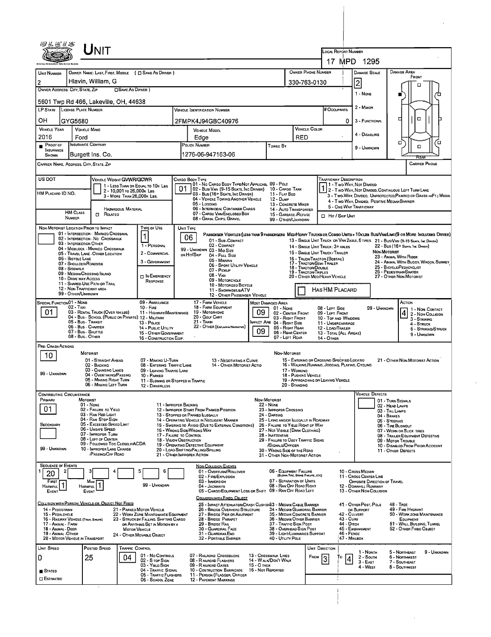| ${\sf UnIT}$                                                                                                                                                  |                                                                                                                                                                     |                                                                                                                                                                                                                    |  |  |  |  |  |  |  |  |
|---------------------------------------------------------------------------------------------------------------------------------------------------------------|---------------------------------------------------------------------------------------------------------------------------------------------------------------------|--------------------------------------------------------------------------------------------------------------------------------------------------------------------------------------------------------------------|--|--|--|--|--|--|--|--|
|                                                                                                                                                               | LOCAL REPORT NUMBER<br>17 MPD<br>1295                                                                                                                               |                                                                                                                                                                                                                    |  |  |  |  |  |  |  |  |
| OWNER NAME: LAST, FIRST, MIDDLE ( C SAME AS DRIVER )<br>UNIT NUMBER                                                                                           | OWNER PHONE NUMBER<br><b>DAMAGE AREA</b><br><b>DAMAGE SCALE</b>                                                                                                     |                                                                                                                                                                                                                    |  |  |  |  |  |  |  |  |
| Hlavin, William, G<br>2                                                                                                                                       | FRONT<br> 2<br>330-763-0130<br>П                                                                                                                                    |                                                                                                                                                                                                                    |  |  |  |  |  |  |  |  |
| OWNER ADDRESS: CITY, STATE, ZIP<br>□SAME AS DRIVER)                                                                                                           | 1 - NONE                                                                                                                                                            |                                                                                                                                                                                                                    |  |  |  |  |  |  |  |  |
| 5601 Twp Rd 466, Lakeville, OH, 44638<br>LP STATE LICENSE PLATE NUMBER                                                                                        | <b>VEHICLE IDENTIFICATION NUMBER</b>                                                                                                                                | 2 - MINOR<br># Occupants                                                                                                                                                                                           |  |  |  |  |  |  |  |  |
| он<br>GYG5680                                                                                                                                                 | 2FMPK4J94GBC40976                                                                                                                                                   | $\Box$<br>0<br>3 - FUNCTIONAL                                                                                                                                                                                      |  |  |  |  |  |  |  |  |
| <b>VEHICLE YEAR</b><br><b>VEHICLE MAKE</b>                                                                                                                    | <b>VEHICLE MOOEL</b>                                                                                                                                                | <b>VEHICLE COLOR</b>                                                                                                                                                                                               |  |  |  |  |  |  |  |  |
| 2016<br>Ford<br>INSURANCE COMPANY<br>PROOF OF                                                                                                                 | Edge<br>POLICY NUMBER<br>Toweo By                                                                                                                                   | 4 - DISABLING<br>RED<br>о<br>ם                                                                                                                                                                                     |  |  |  |  |  |  |  |  |
| <b>INSURANCE</b><br>Burgett Ins. Co.<br>SHOWN                                                                                                                 | 1276-06-947163-06                                                                                                                                                   | п<br>9 - UNKNOWN                                                                                                                                                                                                   |  |  |  |  |  |  |  |  |
| CARRIER NAME, ADDRESS, CITY, STATE, ZIP<br><b>CARRIER PHONE</b>                                                                                               |                                                                                                                                                                     |                                                                                                                                                                                                                    |  |  |  |  |  |  |  |  |
| US DOT<br>VEHICLE WEIGHT GVWR/GCWR<br>Trafficway Description<br>Cargo Body Type<br>01 - No CARGO BODY TYPE/NOT APPLICABL 09 - POLE                            |                                                                                                                                                                     |                                                                                                                                                                                                                    |  |  |  |  |  |  |  |  |
| 1 - LESS THAN OR EQUAL TO 10K LBS<br>2 - 10,001 to 26,000k Las<br>HM PLACARO ID NO.<br>3 - MORE THAN 26,000K LBS.                                             | 02 - Busi Van (9-15 Seats, Inc Driver) 10 - Cargo Tank<br>03 - Bus (16+ Seats, Inc Driver)<br>11 - Flat Beo                                                         | 11 - Two Way, Not Divided<br>1 - T WO-WAY, NOT DIVIDED<br>2 - T WO-WAY, NOT DIVIDED, CONTINUOUS LEFT TURN LANE<br>3 - Two-WAY, DIVIDEO, UNPROTECTEO(PAINTEO OR GRASS >4FT.) MEDIA                                  |  |  |  |  |  |  |  |  |
|                                                                                                                                                               | 04 - VEHICLE TOWING ANOTHER VEHICLE<br>12 - Dump<br>05 - Locging                                                                                                    | 4 - Two-Way, Divided. Positive Median Barrier<br>13 - CONCRETE MIXER<br>5 - ONE-WAY TRAFFICWAY                                                                                                                     |  |  |  |  |  |  |  |  |
| HAZARDOUS MATERIAL<br><b>HM CLASS</b><br>$\Box$ Related<br>NUMBER                                                                                             | 06 - INTERMODAL CONTAINER CHASIS<br>07 - CARGO VAN ENCLOSED BOX<br>08 - GRAIN, CHPS, GRAVEL                                                                         | 14 - AUTO TRANSPORTER<br>15 - GARBAGE / REFUSE<br>HIT / SKIP UNIT<br>99 - OTHER/UNKNOWN                                                                                                                            |  |  |  |  |  |  |  |  |
| TYPE OF USE<br>NON-MOTORIST LOCATION PRIOR TO IMPACT                                                                                                          | UNIT TYPE                                                                                                                                                           |                                                                                                                                                                                                                    |  |  |  |  |  |  |  |  |
| 01 - INTERSECTION - MARKED CROSSWAL<br>$\mathbf 1$<br>02 - INTERSECTION - NO CROSSWALK<br>03 - INTERSECTION OTHER                                             | 06<br>01 - SUB-COMPACT                                                                                                                                              | PASSENGER VEHICLES (LESS THAN 9 PASSENGERS MED/HEAVY TRUCKS OR COMBO UNITS > 10KLBS BUS/VAM/LIMO(9 OR MORE INCLUDING DRIVER)<br>13 - SINGLE UNIT TRUCK OR VAN 2AXLE, 6 TIRES 21 - BUS/VAN (9-15 SEATS, INC DRIVER) |  |  |  |  |  |  |  |  |
| 1 - PERSONAL<br>04 - MIOBLOCK - MARKEO CROSSWALK<br>2 - COMMERCIAL<br>05 - TRAVEL LANE - OTHER LOCATION                                                       | 02 - COMPACT<br>99 - UNKNOWN 03 - MID SIZE<br>OR HIT/SKIP<br>04 - FULL SIZE                                                                                         | 22 - BUS (16+ SEATS, INC DRIVER)<br>14 - SINGLE UNIT TRUCK: 3+ AXLES<br><b>NON-MOTORIST</b><br>15 - SINGLE UNIT TRUCK / TRAILER                                                                                    |  |  |  |  |  |  |  |  |
| 06 - BICYCLE LANE<br>3 - GOVERNMENT<br>07 - SHOULDER/ROADSIDE                                                                                                 | 05 - MINNAN<br>06 - SPORT UTILITY VEHICLE                                                                                                                           | 23 - ANIMAL WITH RIDER<br>16 - TRUCK/TRACTOR (BOBTAIL)<br>24 - ANIMAL WITH BUGGY, WAGON, SURREY<br>17 - TRACTOR/SEMI-TRALER<br>25 - BICYCLE/PEDACYCLIST                                                            |  |  |  |  |  |  |  |  |
| 08 - Sidewalk<br>09 - MEDIAN/CROSSING ISLANO<br><b>D</b> IN EMERGENCY<br>10 - DRIVE WAY ACCESS                                                                | 07 - Pickup<br>$08 - V_{AN}$                                                                                                                                        | 18 - TRACTOR/DOUBLE<br>26 - PEDESTRIAN SKATER<br>19 - TRACTOR/TRIPLES<br>20 - OTHER MEDIHEAVY VEHICLE<br>27 - OTHER NON-MOTORIST                                                                                   |  |  |  |  |  |  |  |  |
| RESPONSE<br>11 - SHARED-USE PATH OR TRAIL<br>12 - NON-TRAFFICWAY AREA                                                                                         | 09 - MOTORCYCLE<br>10 - MOTORIZED BICYCLE                                                                                                                           |                                                                                                                                                                                                                    |  |  |  |  |  |  |  |  |
| Has HM Placard<br>11 - SNOWMOBILE/ATV<br>99 - OTHER/UNKNOWN<br>12 - OTHER PASSENGER VEHICLE<br>09 - AMBULANCE<br>17 - FARM VEHICLE<br>ACTION                  |                                                                                                                                                                     |                                                                                                                                                                                                                    |  |  |  |  |  |  |  |  |
| SPECIAL FUNCTION 01 - NONE<br>02 - TAXI<br>$10 -$ Fine<br>01<br>03 - RENTAL TRUCK (OVER 10KLBS)<br>11 - HIGHWAY/MAINTENANCE                                   | <b>MOST DAMAGED AREA</b><br>18 - FARM EQUIPMENT<br>$01 - None$<br>09<br>19 - Мотовноме                                                                              | 99 - UNKNOWN<br>08 - LEFT SIDE<br>1 - Non-Contact<br>02 - CENTER FRONT<br>09 - LEFT FRONT                                                                                                                          |  |  |  |  |  |  |  |  |
| 04 - Bus - SCHOOL (PUBLIC OR PRIVATE) 12 - MILITARY<br>05 - Bus - Transit<br>13 - Pouce                                                                       | 20 - GOLF CART<br>21 - Traw<br>IMPACT ARE 04 - RIGHT SIDE                                                                                                           | 4 2 - Non-Collision<br>03 - RIGHT FRONT<br>10 - Top and Windows<br>3 - STRIKING<br>11 - UNDERCARRIAGE<br>4 - STRUCK                                                                                                |  |  |  |  |  |  |  |  |
| 06 - Bus - CHARTER<br>14 - Pusuc UTILITY<br>07 - Bus - SHUTTLE<br>15 - OTHER GOVERNMENT<br>08 - Bus - OTHER<br>16 - CONSTRUCTION EQIP.                        | 22 - OTHER (EXPLANIN NARRATIVE)<br>09                                                                                                                               | 05 - Right Rear<br>12 - LOAD/TRALER<br>5 - STRIKING/STRUCK<br>06 - Rear Center<br>13 - TOTAL (ALL AREAS)<br>9 - UNKNOWN<br>07 - LEFT REAR<br>14 - Отнея                                                            |  |  |  |  |  |  |  |  |
| PRE- CRASH ACTIONS                                                                                                                                            |                                                                                                                                                                     |                                                                                                                                                                                                                    |  |  |  |  |  |  |  |  |
| MOTORIST<br>10<br>01 - STRAIGHT AHEAD<br>07 - MAKING U-TURN                                                                                                   | 13 - NEGOTIATING A CURVE                                                                                                                                            | NON-MOTORIST<br>15 - ENTERING OR CROSSING SPECIFIED LOCATIO<br>21 - OTHER NON-MOTORIST ACTION                                                                                                                      |  |  |  |  |  |  |  |  |
| 02 - BACKING<br>08 - ENTERING TRAFFIC LANE<br>03 - CHANGING LANES<br>09 - LEAVING TRAFFIC LANE<br>99 - UNKNOWN                                                | 14 - OTHER MOTORIST ACTID                                                                                                                                           | 16 - WALKING, RUNNING, JOGGING, PLAYING, CYCLING<br>17 - WORKING                                                                                                                                                   |  |  |  |  |  |  |  |  |
| 04 - OVERTAKING/PASSING<br>10 - PARKED<br>05 - MAKING RIGHT TURN<br>06 - MAKING LEFT TURN                                                                     | 11 - SLOWING OR STOPPED IN TRAFFIC                                                                                                                                  | 18 - PUSHING VEHICLE<br>19 - APPROACHING DR LEAVING VEHICLE<br>20 - STANDING                                                                                                                                       |  |  |  |  |  |  |  |  |
| 12 - DRIVERLESS<br><b>CONTRIBUTING CIRCUMSTANCE</b>                                                                                                           |                                                                                                                                                                     | <b>VEHICLE DEFECTS</b>                                                                                                                                                                                             |  |  |  |  |  |  |  |  |
| Primary<br>MOTORIST<br>$01 - None$                                                                                                                            | NON-MOTORIST<br>11 - IMPROPER BACKING<br><b>22 - NONE</b>                                                                                                           | 01 - TURN SIGNALS<br>02 - HEAD LAMPS                                                                                                                                                                               |  |  |  |  |  |  |  |  |
| 01<br>02 - FAILURE TO YIELD<br>03 - RAN RED LIGHT<br>04 - Ran Stop Sign                                                                                       | 23 - IMPROPER CROSSING<br>12 - IMPROPER START FROM PARKED POSITION<br>24 - DARTING<br>13 - Stopped or PARKED LLEGALLY<br>14 - OPERATING VEHICLE IN NEGLIGENT MANNER | 03 - TAIL LAMPS<br>04 - BRAKES<br>25 - LYING ANO/OR ILLEGALLY IN ROADWAY                                                                                                                                           |  |  |  |  |  |  |  |  |
| 05 - Exceeded Speed Limit<br>SECONDARY<br>06 - Unsafe Speed                                                                                                   | 15 - Swering to Avoid (Due to External Conditions)<br>16 - WRONG SIDE/WRONG WAY                                                                                     | 05 - STEERING<br>26 - FALURE TO YIELD RIGHT OF WAY<br>06 - TIRE BLOWOUT<br>27 - NOT VISIBLE (DARK CLOTHING)<br>07 - WORN OR SLICK TIRES                                                                            |  |  |  |  |  |  |  |  |
| 07 - Improper Turn<br>08 - LEFT OF CENTER                                                                                                                     | 17 - FALURE TO CONTROL<br>28 - INATTENTIVE<br>18 - VISION OBSTRUCTION                                                                                               | 08 - TRAILER EQUIPMENT DEFECTIVE<br>29 - FAILURE TO OBEY TRAFFIC SIGNS<br>09 - MOTOR TROUBLE                                                                                                                       |  |  |  |  |  |  |  |  |
| 09 - FOLLOWED TOO CLOSELY/ACDA<br>99 - Unknown<br>10 - IMPROPER LANE CHANGE<br>/PASSING/OFF ROAD                                                              | 19 - OPERATING DEFECTIVE EQUIPMENT<br>/SIGNALS/OFFICER<br>20 - LOAD SHIFTING/FALLING/SPILLING<br>30 - WRONG SIDE OF THE ROAD<br>21 - OTHER IMPROPER ACTION          | 10 - DISABLED FROM PRIGR ACCIDENT<br>11 - OTHER DEFECTS<br>31 - OTHER NON-MOTORIST ACTION                                                                                                                          |  |  |  |  |  |  |  |  |
| <b>SEQUENCE OF EVENTS</b>                                                                                                                                     | <b>NON-COLLISION EVENTS</b>                                                                                                                                         |                                                                                                                                                                                                                    |  |  |  |  |  |  |  |  |
| 5<br>6<br>20                                                                                                                                                  | 01 - Overturn/Rollover<br>02 - FIRE/EXPLOSION                                                                                                                       | 06 - EQUIPMENT FAILURE<br>10 - Cross Median<br>(BLOWN TIRE, BRAKE FAILURE, ETC)<br>11 - Cross Center Line                                                                                                          |  |  |  |  |  |  |  |  |
| FIRST<br>Mosi<br>99 - UNKNOWN<br>Harmful<br><b>HARMFUL</b><br>EVENT                                                                                           | 03 - IMMERSION<br>04 - JACKKNIFE<br>05 - CARGO/EQUIPMENT LOSS OR SHIFT                                                                                              | 07 - SEPARATION OF UNITS<br>OPPOSITE DIRECTION OF TRAVEL<br>08 - RAN OFF ROAD RIGHT<br>12 - DOWNHILL RUNAWAY<br>09 - RAN OFF ROAD LEFT<br>13 - OTHER NON-COLLISION                                                 |  |  |  |  |  |  |  |  |
| EVENT                                                                                                                                                         | COLLISION WITH FIXED, OBJECT                                                                                                                                        |                                                                                                                                                                                                                    |  |  |  |  |  |  |  |  |
| COLLISION WITH PERSON, VEHICLE OR OBJECT NOT FIXED<br>14 - PEDESTRIAN<br>21 - PARKED MOTOR VEHICLE<br>15 - PEOALCYCLE<br>22 - WORK ZONE MAINTENANCE EQUIPMENT | 25 - IMPACT ATTENUATOR/CRASH CUSHIDI83 - MEDIAN CABLE BARRIER<br>26 - BRIDGE OVERHEAD STRUCTURE<br>27 - BRIOGE PIER OR ABUTMENT                                     | 41 - OTHER POST, POLE<br><b>48 - TREE</b><br>34 - MEDIAN GUARORAIL BARRIER<br>49 - FIRE HYDRANT<br>OR SUPPORT<br>35 - MEDIAN CONCRETE BARRIER<br>42 - CULVERT<br>50 - WORK ZONE MAINTENANCE                        |  |  |  |  |  |  |  |  |
| 16 - RAILWAY VEHICLE (TRAN, ENGINE)<br>23 - STRUCK BY FALLING, SHIFTING CARGO<br>17 - Animal - Farin<br>OR ANYTHING SET IN MOTION BY A                        | 28 - BRIDGE PARAPET<br>29 - Bridge Rail                                                                                                                             | 36 - MEDIAN OTHER BARRIER<br>43 - Cuna<br>EQUIPMENT<br>44 - Опсн<br>51 - WALL, BUILDING, TUNNEL<br>37 - TRAFFIC SIGN POST                                                                                          |  |  |  |  |  |  |  |  |
| 18 - ANIMAL - DEER<br>MOTOR VEHICLE<br>19 - ANIMAL - OTHER<br>24 - OTHER MOVABLE OBJECT<br>20 - MOTOR VEHICLE IN TRANSPORT                                    | 30 - GUARDRAIL FACE<br>31 - GUARDRAILENO<br>40 - UTILITY POLE<br>32 - PORTABLE BARRIER                                                                              | 45 - Embankment<br>38 - OVERHEAD SIGN POST<br>52 - Отнек Fixeo Овлест<br>46 - FENCE<br>39 - LIGHT/LUMINARIES SUPPORT<br>47 - MAILBOX                                                                               |  |  |  |  |  |  |  |  |
| Unit Speed<br>POSTED SPEED<br><b>TRAFFIC CONTROL</b>                                                                                                          |                                                                                                                                                                     | UNIT DIRECTION                                                                                                                                                                                                     |  |  |  |  |  |  |  |  |
| 01 - No CONTROLS<br>0<br>25<br>04<br>02 - S TOP SIGN                                                                                                          | 07 - RAILROAD CROSSBUCKS<br>13 - Crosswalk Lines<br>14 - W ALK/DON'T WALK<br>08 - R AILROAD FLASHERS                                                                | 5 - Northeast<br>9 - UNKNOWN<br>1 - North<br>FROM<br>2 - South<br>6 - Northwest<br>То<br>4<br>$3 - EAST$                                                                                                           |  |  |  |  |  |  |  |  |
| 03 - YIELD SIGN<br>04 - TRAFFIC SIGNAL<br><b>STATEO</b>                                                                                                       | 15 - O THER<br>09 - R AILROAD GATES<br>16 - Not Reported<br>10 - Costruction Barricade                                                                              | 7 - Southeast<br>4 - West<br>8 - Southwest                                                                                                                                                                         |  |  |  |  |  |  |  |  |
| 05 - TRAFFIC FLASHERS<br><b>ESTIMATEO</b><br>06 - SCHOOL ZONE                                                                                                 | 11 - PERSON (FLAGGER, OFFICER<br><b>12 - PAVEMENT MARKINGS</b>                                                                                                      |                                                                                                                                                                                                                    |  |  |  |  |  |  |  |  |
|                                                                                                                                                               |                                                                                                                                                                     |                                                                                                                                                                                                                    |  |  |  |  |  |  |  |  |

 $\sim 10^6$